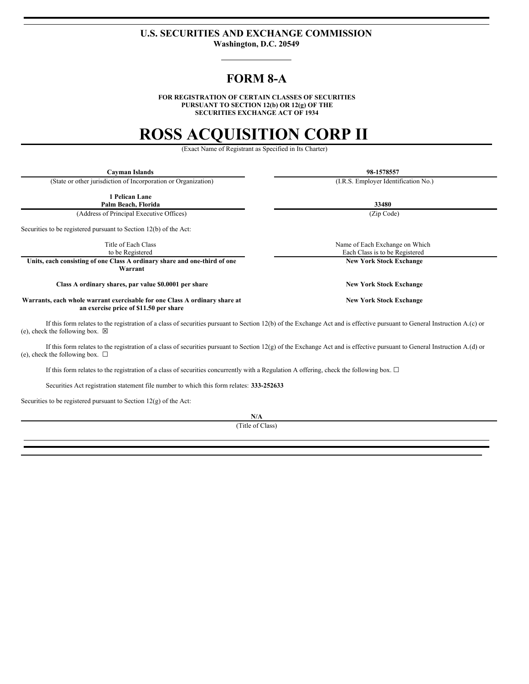### **U.S. SECURITIES AND EXCHANGE COMMISSION Washington, D.C. 20549**

## **FORM 8-A**

**FOR REGISTRATION OF CERTAIN CLASSES OF SECURITIES PURSUANT TO SECTION 12(b) OR 12(g) OF THE SECURITIES EXCHANGE ACT OF 1934**

# **ROSS ACQUISITION CORP II**

(Exact Name of Registrant as Specified in Its Charter)

**Cayman Islands 98-1578557**

(State or other jurisdiction of Incorporation or Organization) (I.R.S. Employer Identification No.)

**1 Pelican Lane**

**Palm Beach, Florida 33480** (Address of Principal Executive Offices) (Zip Code)

Securities to be registered pursuant to Section 12(b) of the Act:

Title of Each Class to be Registered

**Units, each consisting of one Class A ordinary share and one-third of one Warrant**

**Class A ordinary shares, par value \$0.0001 per share New York Stock Exchange**

**Warrants, each whole warrant exercisable for one Class A ordinary share at an exercise price of \$11.50 per share**

If this form relates to the registration of a class of securities pursuant to Section 12(b) of the Exchange Act and is effective pursuant to General Instruction A.(c) or (e), check the following box.  $\boxtimes$ 

If this form relates to the registration of a class of securities pursuant to Section 12(g) of the Exchange Act and is effective pursuant to General Instruction A.(d) or (e), check the following box.  $\Box$ 

If this form relates to the registration of a class of securities concurrently with a Regulation A offering, check the following box. ☐

Securities Act registration statement file number to which this form relates: **333-252633**

Securities to be registered pursuant to Section  $12(g)$  of the Act:

**N/A**

(Title of Class)

Name of Each Exchange on Which Each Class is to be Registered **New York Stock Exchange**

**New York Stock Exchange**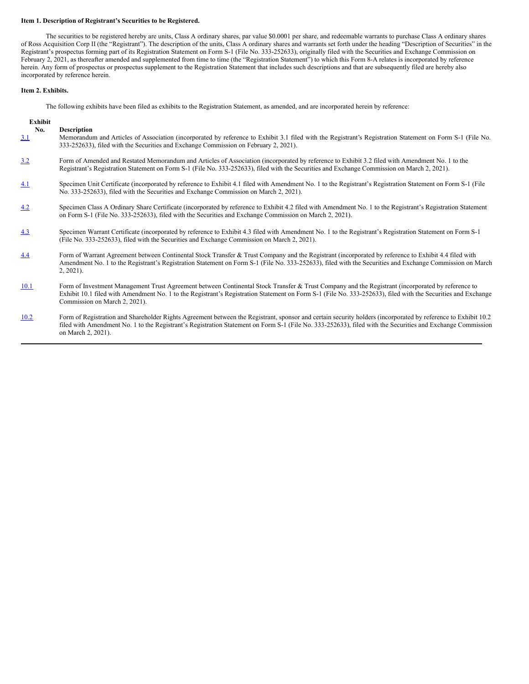#### **Item 1. Description of Registrant's Securities to be Registered.**

The securities to be registered hereby are units, Class A ordinary shares, par value \$0.0001 per share, and redeemable warrants to purchase Class A ordinary shares of Ross Acquisition Corp II (the "Registrant"). The description of the units, Class A ordinary shares and warrants set forth under the heading "Description of Securities" in the Registrant's prospectus forming part of its Registration Statement on Form S-1 (File No. 333-252633), originally filed with the Securities and Exchange Commission on February 2, 2021, as thereafter amended and supplemented from time to time (the "Registration Statement") to which this Form 8-A relates is incorporated by reference herein. Any form of prospectus or prospectus supplement to the Registration Statement that includes such descriptions and that are subsequently filed are hereby also incorporated by reference herein.

#### **Item 2. Exhibits.**

The following exhibits have been filed as exhibits to the Registration Statement, as amended, and are incorporated herein by reference:

| Exhibit    |                                                                                                                                                                                                                                                                                                                                                    |
|------------|----------------------------------------------------------------------------------------------------------------------------------------------------------------------------------------------------------------------------------------------------------------------------------------------------------------------------------------------------|
| No.<br>3.1 | <b>Description</b><br>Memorandum and Articles of Association (incorporated by reference to Exhibit 3.1 filed with the Registrant's Registration Statement on Form S-1 (File No.<br>333-252633), filed with the Securities and Exchange Commission on February 2, 2021).                                                                            |
| 3.2        | Form of Amended and Restated Memorandum and Articles of Association (incorporated by reference to Exhibit 3.2 filed with Amendment No. 1 to the<br>Registrant's Registration Statement on Form S-1 (File No. 333-252633), filed with the Securities and Exchange Commission on March 2, 2021).                                                     |
| 4.1        | Specimen Unit Certificate (incorporated by reference to Exhibit 4.1 filed with Amendment No. 1 to the Registrant's Registration Statement on Form S-1 (File<br>No. 333-252633), filed with the Securities and Exchange Commission on March 2, 2021).                                                                                               |
| 4.2        | Specimen Class A Ordinary Share Certificate (incorporated by reference to Exhibit 4.2 filed with Amendment No. 1 to the Registrant's Registration Statement<br>on Form S-1 (File No. 333-252633), filed with the Securities and Exchange Commission on March 2, 2021).                                                                             |
| 4.3        | Specimen Warrant Certificate (incorporated by reference to Exhibit 4.3 filed with Amendment No. 1 to the Registrant's Registration Statement on Form S-1<br>(File No. 333-252633), filed with the Securities and Exchange Commission on March 2, 2021).                                                                                            |
| 4.4        | Form of Warrant Agreement between Continental Stock Transfer & Trust Company and the Registrant (incorporated by reference to Exhibit 4.4 filed with<br>Amendment No. 1 to the Registrant's Registration Statement on Form S-1 (File No. 333-252633), filed with the Securities and Exchange Commission on March<br>$2, 2021$ ).                   |
| 10.1       | Form of Investment Management Trust Agreement between Continental Stock Transfer & Trust Company and the Registrant (incorporated by reference to<br>Exhibit 10.1 filed with Amendment No. 1 to the Registrant's Registration Statement on Form S-1 (File No. 333-252633), filed with the Securities and Exchange<br>Commission on March 2, 2021). |
| 10.2       | Form of Registration and Shareholder Rights Agreement between the Registrant, sponsor and certain security holders (incorporated by reference to Exhibit 10.2)<br>filed with Amendment No. 1 to the Registrant's Registration Statement on Form S-1 (File No. 333-252633), filed with the Securities and Exchange Commission<br>on March 2, 2021). |